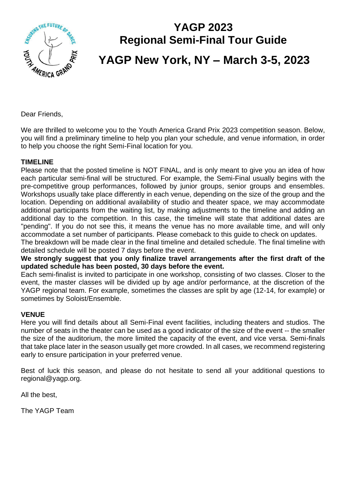

# **YAGP 2023 Regional Semi-Final Tour Guide YAGP New York, NY – March 3-5, 2023**

Dear Friends,

We are thrilled to welcome you to the Youth America Grand Prix 2023 competition season. Below, you will find a preliminary timeline to help you plan your schedule, and venue information, in order to help you choose the right Semi-Final location for you.

#### **TIMELINE**

Please note that the posted timeline is NOT FINAL, and is only meant to give you an idea of how each particular semi-final will be structured. For example, the Semi-Final usually begins with the pre-competitive group performances, followed by junior groups, senior groups and ensembles. Workshops usually take place differently in each venue, depending on the size of the group and the location. Depending on additional availability of studio and theater space, we may accommodate additional participants from the waiting list, by making adjustments to the timeline and adding an additional day to the competition. In this case, the timeline will state that additional dates are "pending". If you do not see this, it means the venue has no more available time, and will only accommodate a set number of participants. Please comeback to this guide to check on updates. The breakdown will be made clear in the final timeline and detailed schedule. The final timeline with

detailed schedule will be posted 7 days before the event.

**We strongly suggest that you only finalize travel arrangements after the first draft of the updated schedule has been posted, 30 days before the event.** 

Each semi-finalist is invited to participate in one workshop, consisting of two classes. Closer to the event, the master classes will be divided up by age and/or performance, at the discretion of the YAGP regional team. For example, sometimes the classes are split by age (12-14, for example) or sometimes by Soloist/Ensemble.

#### **VENUE**

Here you will find details about all Semi-Final event facilities, including theaters and studios. The number of seats in the theater can be used as a good indicator of the size of the event -- the smaller the size of the auditorium, the more limited the capacity of the event, and vice versa. Semi-finals that take place later in the season usually get more crowded. In all cases, we recommend registering early to ensure participation in your preferred venue.

Best of luck this season, and please do not hesitate to send all your additional questions to regional@yagp.org.

All the best,

The YAGP Team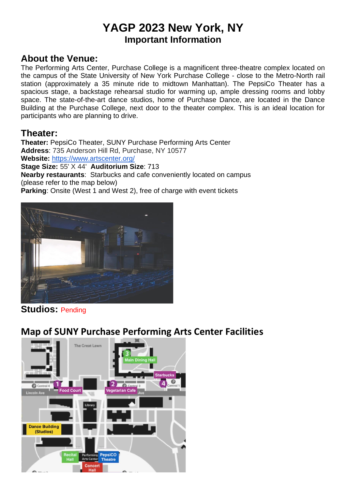## **YAGP 2023 New York, NY Important Information**

### **About the Venue:**

The Performing Arts Center, Purchase College is a magnificent three-theatre complex located on the campus of the State University of New York Purchase College - close to the Metro-North rail station (approximately a 35 minute ride to midtown Manhattan). The PepsiCo Theater has a spacious stage, a backstage rehearsal studio for warming up, ample dressing rooms and lobby space. The state-of-the-art dance studios, home of Purchase Dance, are located in the Dance Building at the Purchase College, next door to the theater complex. This is an ideal location for participants who are planning to drive.

### **Theater:**

**Theater:** PepsiCo Theater, SUNY Purchase Performing Arts Center **Address**: 735 Anderson Hill Rd, Purchase, NY 10577 **Website:** <https://www.artscenter.org/>

**Stage Size:** 55' X 44' **Auditorium Size**: 713

**Nearby restaurants**: Starbucks and cafe conveniently located on campus (please refer to the map below)

**Parking:** Onsite (West 1 and West 2), free of charge with event tickets



### **Studios:** Pending

### **Map of SUNY Purchase Performing Arts Center Facilities**